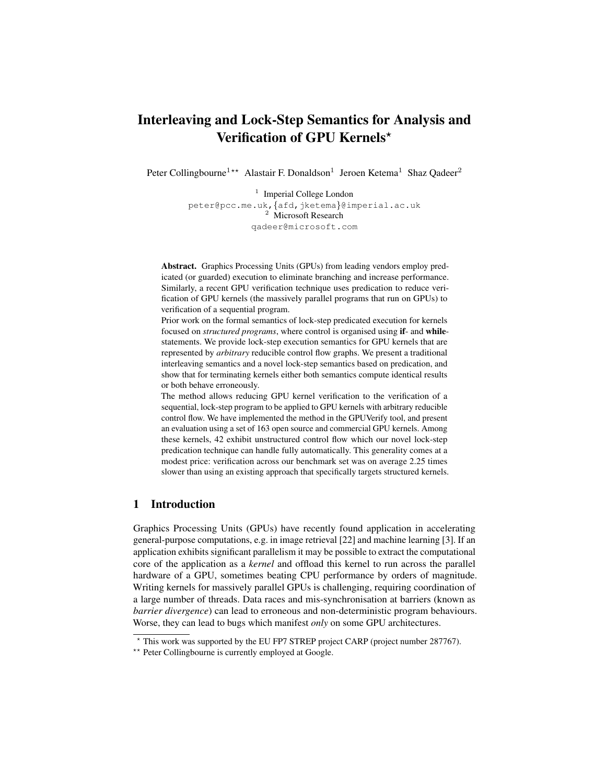# Interleaving and Lock-Step Semantics for Analysis and Verification of GPU Kernels\*

Peter Collingbourne<sup>1\*\*</sup> Alastair F. Donaldson<sup>1</sup> Jeroen Ketema<sup>1</sup> Shaz Qadeer<sup>2</sup>

<sup>1</sup> Imperial College London peter@pcc.me.uk,{afd,jketema}@imperial.ac.uk <sup>2</sup> Microsoft Research qadeer@microsoft.com

Abstract. Graphics Processing Units (GPUs) from leading vendors employ predicated (or guarded) execution to eliminate branching and increase performance. Similarly, a recent GPU verification technique uses predication to reduce verification of GPU kernels (the massively parallel programs that run on GPUs) to verification of a sequential program.

Prior work on the formal semantics of lock-step predicated execution for kernels focused on *structured programs*, where control is organised using if- and whilestatements. We provide lock-step execution semantics for GPU kernels that are represented by *arbitrary* reducible control flow graphs. We present a traditional interleaving semantics and a novel lock-step semantics based on predication, and show that for terminating kernels either both semantics compute identical results or both behave erroneously.

The method allows reducing GPU kernel verification to the verification of a sequential, lock-step program to be applied to GPU kernels with arbitrary reducible control flow. We have implemented the method in the GPUVerify tool, and present an evaluation using a set of 163 open source and commercial GPU kernels. Among these kernels, 42 exhibit unstructured control flow which our novel lock-step predication technique can handle fully automatically. This generality comes at a modest price: verification across our benchmark set was on average 2.25 times slower than using an existing approach that specifically targets structured kernels.

## 1 Introduction

Graphics Processing Units (GPUs) have recently found application in accelerating general-purpose computations, e.g. in image retrieval [22] and machine learning [3]. If an application exhibits significant parallelism it may be possible to extract the computational core of the application as a *kernel* and offload this kernel to run across the parallel hardware of a GPU, sometimes beating CPU performance by orders of magnitude. Writing kernels for massively parallel GPUs is challenging, requiring coordination of a large number of threads. Data races and mis-synchronisation at barriers (known as *barrier divergence*) can lead to erroneous and non-deterministic program behaviours. Worse, they can lead to bugs which manifest *only* on some GPU architectures.

<sup>?</sup> This work was supported by the EU FP7 STREP project CARP (project number 287767).

<sup>\*\*</sup> Peter Collingbourne is currently employed at Google.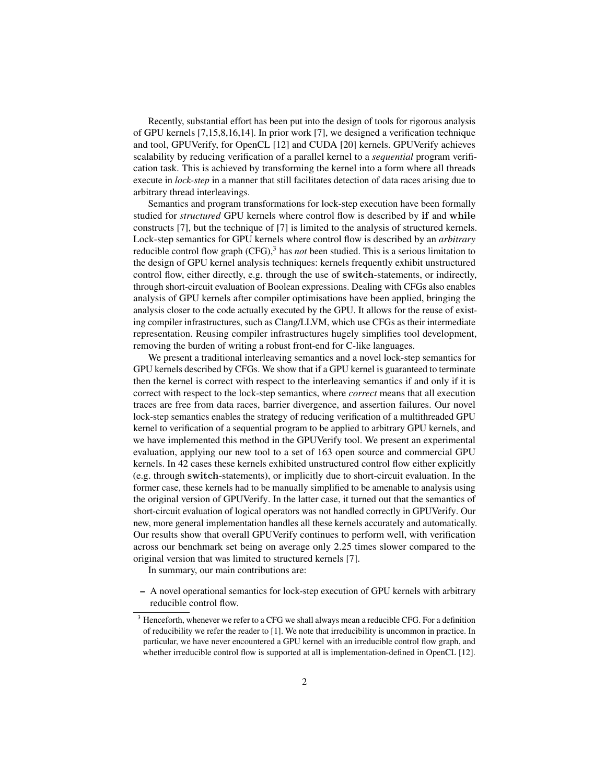Recently, substantial effort has been put into the design of tools for rigorous analysis of GPU kernels [7,15,8,16,14]. In prior work [7], we designed a verification technique and tool, GPUVerify, for OpenCL [12] and CUDA [20] kernels. GPUVerify achieves scalability by reducing verification of a parallel kernel to a *sequential* program verification task. This is achieved by transforming the kernel into a form where all threads execute in *lock-step* in a manner that still facilitates detection of data races arising due to arbitrary thread interleavings.

Semantics and program transformations for lock-step execution have been formally studied for *structured* GPU kernels where control flow is described by if and while constructs [7], but the technique of [7] is limited to the analysis of structured kernels. Lock-step semantics for GPU kernels where control flow is described by an *arbitrary* reducible control flow graph (CFG),<sup>3</sup> has *not* been studied. This is a serious limitation to the design of GPU kernel analysis techniques: kernels frequently exhibit unstructured control flow, either directly, e.g. through the use of switch-statements, or indirectly, through short-circuit evaluation of Boolean expressions. Dealing with CFGs also enables analysis of GPU kernels after compiler optimisations have been applied, bringing the analysis closer to the code actually executed by the GPU. It allows for the reuse of existing compiler infrastructures, such as Clang/LLVM, which use CFGs as their intermediate representation. Reusing compiler infrastructures hugely simplifies tool development, removing the burden of writing a robust front-end for C-like languages.

We present a traditional interleaving semantics and a novel lock-step semantics for GPU kernels described by CFGs. We show that if a GPU kernel is guaranteed to terminate then the kernel is correct with respect to the interleaving semantics if and only if it is correct with respect to the lock-step semantics, where *correct* means that all execution traces are free from data races, barrier divergence, and assertion failures. Our novel lock-step semantics enables the strategy of reducing verification of a multithreaded GPU kernel to verification of a sequential program to be applied to arbitrary GPU kernels, and we have implemented this method in the GPUVerify tool. We present an experimental evaluation, applying our new tool to a set of 163 open source and commercial GPU kernels. In 42 cases these kernels exhibited unstructured control flow either explicitly (e.g. through switch-statements), or implicitly due to short-circuit evaluation. In the former case, these kernels had to be manually simplified to be amenable to analysis using the original version of GPUVerify. In the latter case, it turned out that the semantics of short-circuit evaluation of logical operators was not handled correctly in GPUVerify. Our new, more general implementation handles all these kernels accurately and automatically. Our results show that overall GPUVerify continues to perform well, with verification across our benchmark set being on average only 2.25 times slower compared to the original version that was limited to structured kernels [7].

In summary, our main contributions are:

– A novel operational semantics for lock-step execution of GPU kernels with arbitrary reducible control flow.

<sup>&</sup>lt;sup>3</sup> Henceforth, whenever we refer to a CFG we shall always mean a reducible CFG. For a definition of reducibility we refer the reader to [1]. We note that irreducibility is uncommon in practice. In particular, we have never encountered a GPU kernel with an irreducible control flow graph, and whether irreducible control flow is supported at all is implementation-defined in OpenCL [12].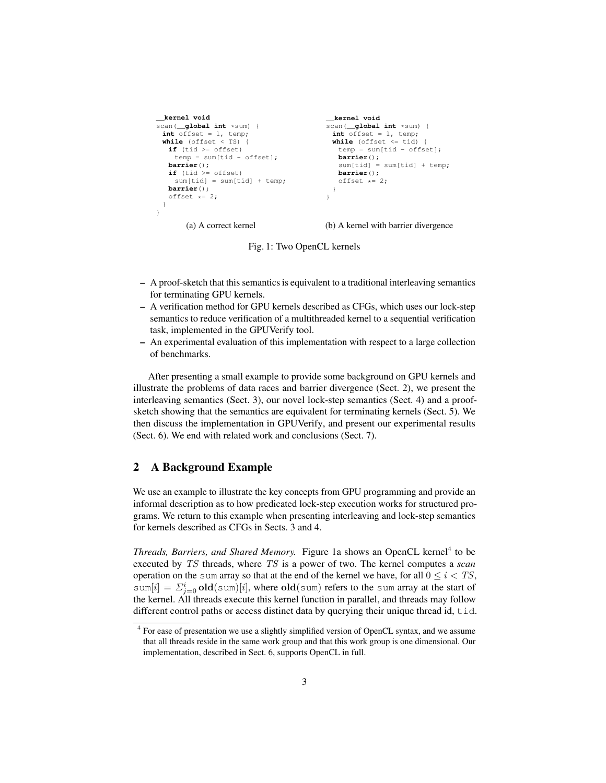```
__kernel void
scan(__global int *sum) {
 int offset = 1, temp;
 while (offset < TS) {
  if (tid >= offset)
    temp = sum[tid - offset];
   barrier();
if (tid >= offset)
    sum[tid] = sum[tid] + temp;barrier();
  offset *=2;}
}
       (a) A correct kernel
                                           __kernel void
                                         scan(_global int *sum) {
                                           int offset = 1, temp;
                                           while (offset \leq tid) {
                                               temp = sum[tid - offset];
barrier();
                                             sum[tid] = sum[tid] + temp;barrier();
                                             offset *=2:}
                                           }
                                           (b) A kernel with barrier divergence
```
Fig. 1: Two OpenCL kernels

- A proof-sketch that this semantics is equivalent to a traditional interleaving semantics for terminating GPU kernels.
- A verification method for GPU kernels described as CFGs, which uses our lock-step semantics to reduce verification of a multithreaded kernel to a sequential verification task, implemented in the GPUVerify tool.
- An experimental evaluation of this implementation with respect to a large collection of benchmarks.

After presenting a small example to provide some background on GPU kernels and illustrate the problems of data races and barrier divergence (Sect. 2), we present the interleaving semantics (Sect. 3), our novel lock-step semantics (Sect. 4) and a proofsketch showing that the semantics are equivalent for terminating kernels (Sect. 5). We then discuss the implementation in GPUVerify, and present our experimental results (Sect. 6). We end with related work and conclusions (Sect. 7).

## 2 A Background Example

We use an example to illustrate the key concepts from GPU programming and provide an informal description as to how predicated lock-step execution works for structured programs. We return to this example when presenting interleaving and lock-step semantics for kernels described as CFGs in Sects. 3 and 4.

Threads, Barriers, and Shared Memory. Figure 1a shows an OpenCL kernel<sup>4</sup> to be executed by TS threads, where TS is a power of two. The kernel computes a *scan* operation on the sum array so that at the end of the kernel we have, for all  $0 \le i < TS$ , sum $[i] = \sum_{j=0}^{i} old(\text{sum})[i]$ , where  $old(\text{sum})$  refers to the sum array at the start of the kernel. All threads execute this kernel function in parallel, and threads may follow different control paths or access distinct data by querying their unique thread id,  $t$  id.

<sup>&</sup>lt;sup>4</sup> For ease of presentation we use a slightly simplified version of OpenCL syntax, and we assume that all threads reside in the same work group and that this work group is one dimensional. Our implementation, described in Sect. 6, supports OpenCL in full.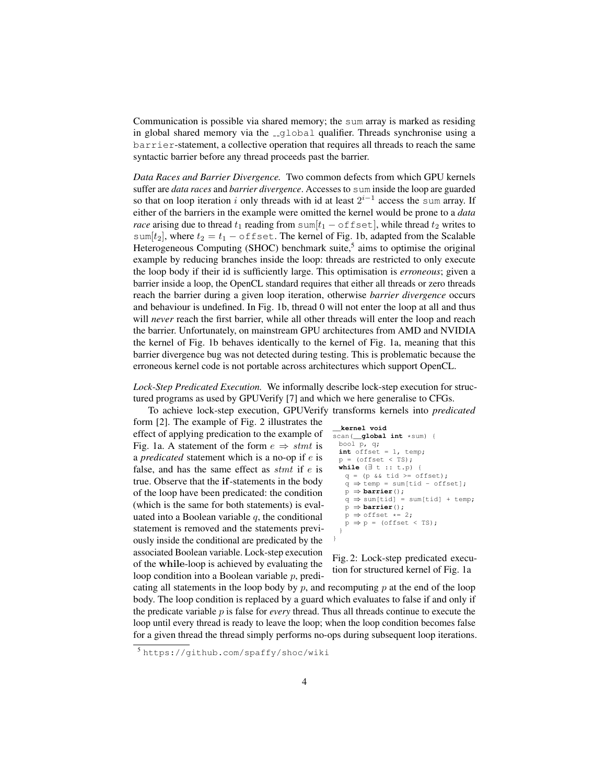Communication is possible via shared memory; the sum array is marked as residing in global shared memory via the  $\lnot$  global qualifier. Threads synchronise using a barrier-statement, a collective operation that requires all threads to reach the same syntactic barrier before any thread proceeds past the barrier.

*Data Races and Barrier Divergence.* Two common defects from which GPU kernels suffer are *data races* and *barrier divergence*. Accesses to sum inside the loop are guarded so that on loop iteration i only threads with id at least  $2^{i-1}$  access the sum array. If either of the barriers in the example were omitted the kernel would be prone to a *data race* arising due to thread  $t_1$  reading from sum $[t_1 - \text{offset}],$  while thread  $t_2$  writes to sum[t<sub>2</sub>], where  $t_2 = t_1 - \text{offset}$ . The kernel of Fig. 1b, adapted from the Scalable Heterogeneous Computing (SHOC) benchmark suite,<sup>5</sup> aims to optimise the original example by reducing branches inside the loop: threads are restricted to only execute the loop body if their id is sufficiently large. This optimisation is *erroneous*; given a barrier inside a loop, the OpenCL standard requires that either all threads or zero threads reach the barrier during a given loop iteration, otherwise *barrier divergence* occurs and behaviour is undefined. In Fig. 1b, thread 0 will not enter the loop at all and thus will *never* reach the first barrier, while all other threads will enter the loop and reach the barrier. Unfortunately, on mainstream GPU architectures from AMD and NVIDIA the kernel of Fig. 1b behaves identically to the kernel of Fig. 1a, meaning that this barrier divergence bug was not detected during testing. This is problematic because the erroneous kernel code is not portable across architectures which support OpenCL.

*Lock-Step Predicated Execution.* We informally describe lock-step execution for structured programs as used by GPUVerify [7] and which we here generalise to CFGs.

To achieve lock-step execution, GPUVerify transforms kernels into *predicated*

form [2]. The example of Fig. 2 illustrates the effect of applying predication to the example of Fig. 1a. A statement of the form  $e \Rightarrow$  stmt is a *predicated* statement which is a no-op if e is false, and has the same effect as  $s$ tmt if  $e$  is true. Observe that the if-statements in the body of the loop have been predicated: the condition (which is the same for both statements) is evaluated into a Boolean variable  $q$ , the conditional statement is removed and the statements previously inside the conditional are predicated by the associated Boolean variable. Lock-step execution of the while-loop is achieved by evaluating the loop condition into a Boolean variable p, predi-

```
__kernel void
scan(__global int *sum) {
  bool p, q;
int offset = 1, temp;
 p = (offset < TS);while (∃ t :: t.p) {<br>
q = (p & & tid >= offset);q \Rightarrow temp = sum[tid - offset];
   p ⇒ barrier();
    q \Rightarrow sum[tid] = sum[tid] + temp;
    p \Rightarrowbarrier();
   p \Rightarrow offset *= 2;
    p \Rightarrow p = (offset < TS);}
```
Fig. 2: Lock-step predicated execution for structured kernel of Fig. 1a

cating all statements in the loop body by  $p$ , and recomputing  $p$  at the end of the loop body. The loop condition is replaced by a guard which evaluates to false if and only if the predicate variable p is false for *every* thread. Thus all threads continue to execute the loop until every thread is ready to leave the loop; when the loop condition becomes false for a given thread the thread simply performs no-ops during subsequent loop iterations.

}

<sup>5</sup> https://github.com/spaffy/shoc/wiki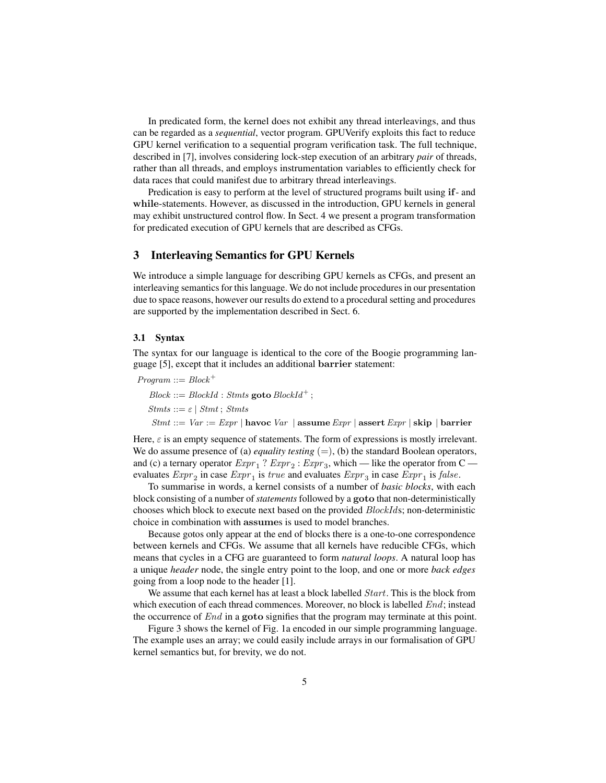In predicated form, the kernel does not exhibit any thread interleavings, and thus can be regarded as a *sequential*, vector program. GPUVerify exploits this fact to reduce GPU kernel verification to a sequential program verification task. The full technique, described in [7], involves considering lock-step execution of an arbitrary *pair* of threads, rather than all threads, and employs instrumentation variables to efficiently check for data races that could manifest due to arbitrary thread interleavings.

Predication is easy to perform at the level of structured programs built using if- and while-statements. However, as discussed in the introduction, GPU kernels in general may exhibit unstructured control flow. In Sect. 4 we present a program transformation for predicated execution of GPU kernels that are described as CFGs.

## 3 Interleaving Semantics for GPU Kernels

We introduce a simple language for describing GPU kernels as CFGs, and present an interleaving semantics for this language. We do not include procedures in our presentation due to space reasons, however our results do extend to a procedural setting and procedures are supported by the implementation described in Sect. 6.

### 3.1 Syntax

The syntax for our language is identical to the core of the Boogie programming language [5], except that it includes an additional barrier statement:

 $Program ::= Block^+$ 

 $Block ::= BlockId : Stmts$  goto  $BlockId^+$ ;  $St mts ::= \varepsilon \mid St m t ; St m ts$  $Stmt ::= Var := Expr |$  havoc  $Var |$  assume  $Expr |$  assert  $Expr |$  skip  $|$  barrier

Here,  $\varepsilon$  is an empty sequence of statements. The form of expressions is mostly irrelevant. We do assume presence of (a) *equality testing*  $(=)$ , (b) the standard Boolean operators, and (c) a ternary operator  $\text{Expr}_1$  ?  $\text{Expr}_2$ :  $\text{Expr}_3$ , which — like the operator from C evaluates  $\mathit{Expr}_2$  in case  $\mathit{Expr}_1$  is  $\mathit{true}$  and evaluates  $\mathit{Expr}_3$  in case  $\mathit{Expr}_1$  is  $\mathit{false}$ .

To summarise in words, a kernel consists of a number of *basic blocks*, with each block consisting of a number of *statements* followed by a goto that non-deterministically chooses which block to execute next based on the provided BlockIds; non-deterministic choice in combination with assumes is used to model branches.

Because gotos only appear at the end of blocks there is a one-to-one correspondence between kernels and CFGs. We assume that all kernels have reducible CFGs, which means that cycles in a CFG are guaranteed to form *natural loops*. A natural loop has a unique *header* node, the single entry point to the loop, and one or more *back edges* going from a loop node to the header [1].

We assume that each kernel has at least a block labelled Start. This is the block from which execution of each thread commences. Moreover, no block is labelled  $End$ ; instead the occurrence of End in a goto signifies that the program may terminate at this point.

Figure 3 shows the kernel of Fig. 1a encoded in our simple programming language. The example uses an array; we could easily include arrays in our formalisation of GPU kernel semantics but, for brevity, we do not.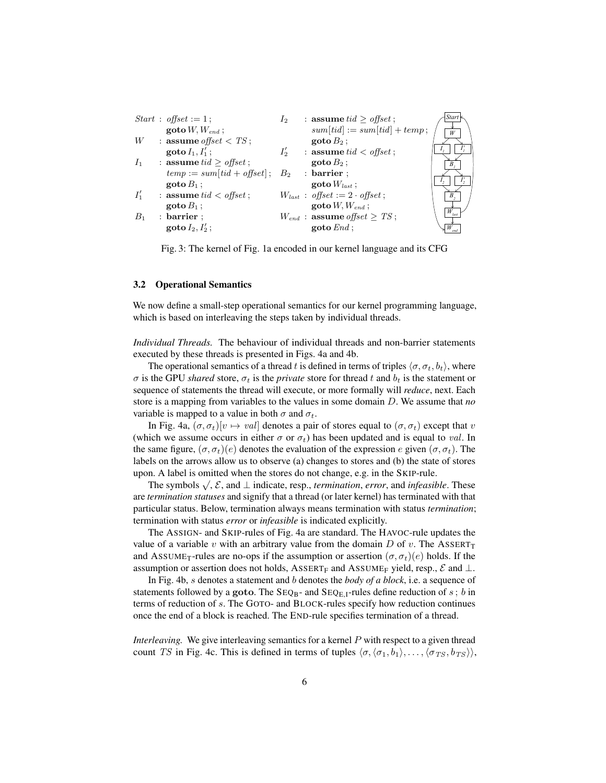|        | <i>Start</i> : <i>offset</i> := 1;          | $I_2$  | : assume tid $\geq$ offset;           | Star  |
|--------|---------------------------------------------|--------|---------------------------------------|-------|
|        | $\gcd W, W_{end}$ ;                         |        | $sum[tid] := sum[tid] + temp;$        | W     |
| W      | : assume <i>offset</i> $<$ <i>TS</i> ;      |        | $\gcd B_2$ :                          |       |
|        | $\boldsymbol{\mathsf{goto}}\, I_1, I'_1;$   | $I_2'$ | : assume $tid <$ offset;              |       |
| $I_1$  | : assume $tid >$ offset;                    |        | $\gcd B_2$ ;                          | B     |
|        | $temp := sum[tid + offset]; B_2 : barrier;$ |        |                                       |       |
|        | $\gcd B_1$ :                                |        | goto $W_{last}$ ;                     |       |
| $I_1'$ | : assume $tid <$ offset;                    |        | $W_{last}$ : offset := 2 · offset;    | $B$ . |
|        | goto $B_1$ ;                                |        | goto $W, W_{end}$ ;                   |       |
| $B_1$  | $: \mathbf{barrier} :$                      |        | $W_{end}$ : assume offset $\geq TS$ ; | W     |
|        | $\gcd I_2, I'_2;$                           |        | goto $End$ :                          |       |

Fig. 3: The kernel of Fig. 1a encoded in our kernel language and its CFG

### 3.2 Operational Semantics

We now define a small-step operational semantics for our kernel programming language, which is based on interleaving the steps taken by individual threads.

*Individual Threads.* The behaviour of individual threads and non-barrier statements executed by these threads is presented in Figs. 4a and 4b.

The operational semantics of a thread t is defined in terms of triples  $\langle \sigma, \sigma_t, b_t \rangle$ , where  $\sigma$  is the GPU *shared* store,  $\sigma_t$  is the *private* store for thread t and  $b_t$  is the statement or sequence of statements the thread will execute, or more formally will *reduce*, next. Each store is a mapping from variables to the values in some domain D. We assume that *no* variable is mapped to a value in both  $\sigma$  and  $\sigma_t$ .

In Fig. 4a,  $(\sigma, \sigma_t)[v \mapsto val]$  denotes a pair of stores equal to  $(\sigma, \sigma_t)$  except that v (which we assume occurs in either  $\sigma$  or  $\sigma_t$ ) has been updated and is equal to val. In the same figure,  $(\sigma, \sigma_t)(e)$  denotes the evaluation of the expression e given  $(\sigma, \sigma_t)$ . The labels on the arrows allow us to observe (a) changes to stores and (b) the state of stores upon. A label is omitted when the stores do not change, e.g. in the SKIP-rule.

The symbols  $\sqrt{g}$ ,  $\epsilon$ , and  $\perp$  indicate, resp., *termination*, *error*, and *infeasible*. These are *termination statuses* and signify that a thread (or later kernel) has terminated with that particular status. Below, termination always means termination with status *termination*; termination with status *error* or *infeasible* is indicated explicitly.

The ASSIGN- and SKIP-rules of Fig. 4a are standard. The HAVOC-rule updates the value of a variable v with an arbitrary value from the domain  $D$  of v. The ASSERT<sub>T</sub> and ASSUME<sub>T</sub>-rules are no-ops if the assumption or assertion  $(\sigma, \sigma_t)(e)$  holds. If the assumption or assertion does not holds, ASSERT<sub>F</sub> and ASSUME<sub>F</sub> yield, resp.,  $\mathcal E$  and  $\perp$ .

In Fig. 4b, s denotes a statement and b denotes the *body of a block*, i.e. a sequence of statements followed by a goto. The  $\text{SEQ}_B$ - and  $\text{SEQ}_{E,I}$ -rules define reduction of s; b in terms of reduction of s. The GOTO- and BLOCK-rules specify how reduction continues once the end of a block is reached. The END-rule specifies termination of a thread.

*Interleaving.* We give interleaving semantics for a kernel P with respect to a given thread count TS in Fig. 4c. This is defined in terms of tuples  $\langle \sigma, \langle \sigma_1, b_1 \rangle, \ldots, \langle \sigma_{TS}, b_{TS} \rangle \rangle$ ,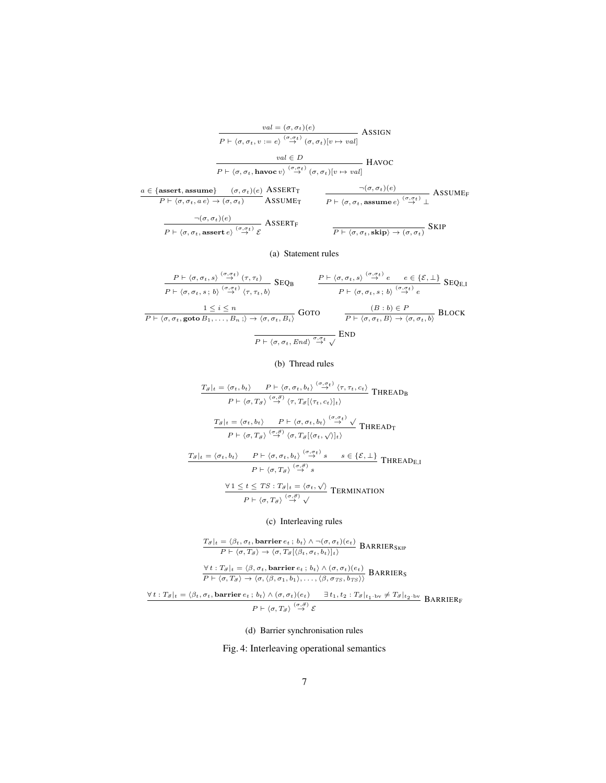$$
\frac{val = (\sigma, \sigma_t)(e)}{P \vdash \langle \sigma, \sigma_t, v := e \rangle} \frac{\text{ASSIGN}}{\langle \sigma, \sigma_t \rangle [v \mapsto val]} \text{ASSIGN}
$$
\n
$$
\frac{val \in D}{P \vdash \langle \sigma, \sigma_t, \text{havoc } v \rangle} \frac{\langle \sigma, \sigma_t \rangle [v \mapsto val]}{\langle \sigma, \sigma_t \rangle [v \mapsto val]} \text{HAVOC}
$$
\n
$$
\frac{a \in \{\text{assert}, \text{assume}\}}{P \vdash \langle \sigma, \sigma_t, a e \rangle \to \langle \sigma, \sigma_t \rangle} \text{ASSENT}_T \qquad \frac{\neg(\sigma, \sigma_t)(e)}{P \vdash \langle \sigma, \sigma_t, \text{assume } e \rangle} \frac{\langle \sigma, \sigma_t \rangle}{\langle \sigma, \sigma_t \rangle} \text{ASSUMEq}
$$
\n
$$
\frac{\neg(\sigma, \sigma_t)(e)}{P \vdash \langle \sigma, \sigma_t, \text{assert } e \rangle} \text{ASSERT}_T \qquad \frac{\neg(\sigma, \sigma_t, \text{skip})}{P \vdash \langle \sigma, \sigma_t, \text{skip} \rangle \to \langle \sigma, \sigma_t \rangle} \text{SKIP}
$$

(a) Statement rules

$$
\frac{P \vdash \langle \sigma, \sigma_t, s \rangle \stackrel{(\sigma, \sigma_t)}{\to} (\tau, \tau_t)}{P \vdash \langle \sigma, \sigma_t, s, b \rangle \stackrel{(\sigma, \sigma_t)}{\to} \langle \tau, \tau_t, b \rangle} \text{SEQ}_B \qquad \frac{P \vdash \langle \sigma, \sigma_t, s \rangle \stackrel{(\sigma, \sigma_t)}{\to} e - e \in \{\mathcal{E}, \bot\}}{P \vdash \langle \sigma, \sigma_t, s, b \rangle \stackrel{(\sigma, \sigma_t)}{\to} e} \text{SEQ}_{E,I}
$$
\n
$$
\frac{1 \leq i \leq n}{P \vdash \langle \sigma, \sigma_t, \text{goto } B_1, \dots, B_n; \rangle \to \langle \sigma, \sigma_t, B_i \rangle} \text{GOTO} \qquad \frac{(B:b) \in P}{P \vdash \langle \sigma, \sigma_t, B \rangle \to \langle \sigma, \sigma_t, b \rangle} \text{BLOCK}
$$
\n
$$
\frac{P \vdash \langle \sigma, \sigma_t, \text{goto } B_1, \dots, B_n; \rangle \to \langle \sigma, \sigma_t, B_i \rangle}{P \vdash \langle \sigma, \sigma_t, \text{End} \rangle \stackrel{\sigma, \sigma_t}{\to} \langle \sigma, b \rangle} \text{END}
$$

## (b) Thread rules

$$
\frac{T_{\overline{\sigma}}|_{t} = \langle \sigma_{t}, b_{t} \rangle \quad P \vdash \langle \sigma, \sigma_{t}, b_{t} \rangle \stackrel{(\sigma, \sigma_{t})}{\rightarrow} \langle \tau, \tau_{t}, c_{t} \rangle} {\langle \tau, \tau_{t}, c_{t} \rangle} \text{THREADB}
$$
\n
$$
P \vdash \langle \sigma, T_{\overline{\sigma}} \rangle \stackrel{(\sigma, \overline{\sigma})}{\rightarrow} \langle \tau, T_{\overline{\sigma}} [\langle \tau_{t}, c_{t} \rangle]_{t} \rangle
$$
\n
$$
\frac{T_{\overline{\sigma}}|_{t} = \langle \sigma_{t}, b_{t} \rangle \quad P \vdash \langle \sigma, \sigma_{t}, b_{t} \rangle \stackrel{(\sigma, \sigma_{t})}{\rightarrow} \sqrt{\langle \tau, T_{\overline{\sigma}} \rangle} \langle \sigma, T_{\overline{\sigma}} [\langle \sigma_{t}, \sqrt{\rangle}]_{t} \rangle}
$$
\n
$$
T_{\overline{\sigma}}|_{t} = \langle \sigma_{t}, b_{t} \rangle \quad P \vdash \langle \sigma, \sigma_{t}, b_{t} \rangle \stackrel{(\sigma, \sigma_{\overline{\sigma}})}{\rightarrow} s \quad s \in \{\mathcal{E}, \bot\} \text{THREADE,I}
$$
\n
$$
P \vdash \langle \sigma, T_{\overline{\sigma}} \rangle \stackrel{(\sigma, \overline{\sigma})}{\rightarrow} s
$$
\n
$$
\frac{\forall 1 \leq t \leq TS : T_{\overline{\sigma}}|_{t} = \langle \sigma_{t}, \sqrt{\rangle}}{\langle \sigma, T_{\overline{\sigma}} \rangle} \text{TERMINATION}
$$

## (c) Interleaving rules

$$
\frac{T_{\vec{\sigma}}|_{t} = \langle \beta_{t}, \sigma_{t}, \text{barrier } e_{t} ; b_{t} \rangle \wedge \neg(\sigma, \sigma_{t})(e_{t})}{P \vdash \langle \sigma, T_{\vec{\sigma}} \rangle \rightarrow \langle \sigma, T_{\vec{\sigma}} [\langle \beta_{t}, \sigma_{t}, b_{t} \rangle]_{t}} \text{BARRIER}_{\text{SKIP}}
$$
\n
$$
\frac{\forall t : T_{\vec{\sigma}}|_{t} = \langle \beta, \sigma_{t}, \text{barrier } e_{t} ; b_{t} \rangle \wedge (\sigma, \sigma_{t})(e_{t})}{P \vdash \langle \sigma, T_{\vec{\sigma}} \rangle \rightarrow \langle \sigma, \langle \beta, \sigma_{1}, b_{1} \rangle, \dots, \langle \beta, \sigma_{TS}, b_{TS} \rangle)} \text{BARRIER}_{\text{S}}
$$
\n
$$
\frac{\forall t : T_{\vec{\sigma}}|_{t} = \langle \beta_{t}, \sigma_{t}, \text{barrier } e_{t} ; b_{t} \rangle \wedge (\sigma, \sigma_{t})(e_{t}) \qquad \exists t_{1}, t_{2} : T_{\vec{\sigma}}|_{t_{1} \text{ bV}} \neq T_{\vec{\sigma}}|_{t_{2} \text{ bV}}}{P \vdash \langle \sigma, T_{\vec{\sigma}} \rangle \stackrel{(\sigma, \vec{\sigma})}{\rightarrow} \mathcal{E}} \text{BARRIER}_{\text{F}}
$$

## (d) Barrier synchronisation rules

## Fig. 4: Interleaving operational semantics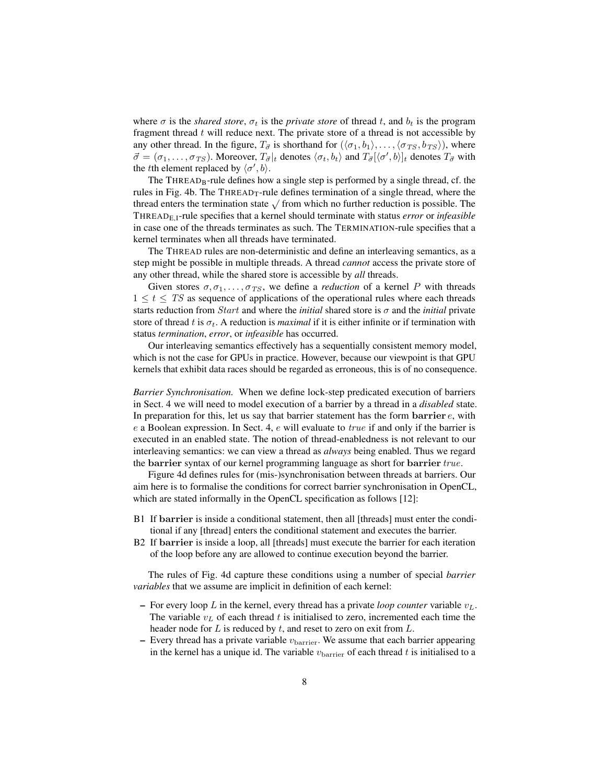where  $\sigma$  is the *shared store*,  $\sigma_t$  is the *private store* of thread t, and  $b_t$  is the program fragment thread  $t$  will reduce next. The private store of a thread is not accessible by any other thread. In the figure,  $T_{\vec{\sigma}}$  is shorthand for  $(\langle \sigma_1, b_1 \rangle, \ldots, \langle \sigma_{TS}, b_{TS} \rangle)$ , where  $\vec{\sigma} = (\sigma_1, \ldots, \sigma_{TS})$ . Moreover,  $T_{\vec{\sigma}}|_t$  denotes  $\langle \sigma_t, b_t \rangle$  and  $T_{\vec{\sigma}}[\langle \sigma', b \rangle]_t$  denotes  $T_{\vec{\sigma}}$  with the *t*th element replaced by  $\langle \sigma', b \rangle$ .

The THREAD<sub>B</sub>-rule defines how a single step is performed by a single thread, cf. the rules in Fig. 4b. The THREAD<sub>T</sub>-rule defines termination of a single thread, where the Thread enters the termination state  $\sqrt{r}$  from which no further reduction is possible. The THREADE,I-rule specifies that a kernel should terminate with status *error* or *infeasible* in case one of the threads terminates as such. The TERMINATION-rule specifies that a kernel terminates when all threads have terminated.

The THREAD rules are non-deterministic and define an interleaving semantics, as a step might be possible in multiple threads. A thread *cannot* access the private store of any other thread, while the shared store is accessible by *all* threads.

Given stores  $\sigma$ ,  $\sigma$ <sub>1</sub>, ...,  $\sigma$ <sub>*TS*</sub>, we define a *reduction* of a kernel *P* with threads  $1 \le t \le TS$  as sequence of applications of the operational rules where each threads starts reduction from *Start* and where the *initial* shared store is  $\sigma$  and the *initial* private store of thread t is  $\sigma_t$ . A reduction is *maximal* if it is either infinite or if termination with status *termination*, *error*, or *infeasible* has occurred.

Our interleaving semantics effectively has a sequentially consistent memory model, which is not the case for GPUs in practice. However, because our viewpoint is that GPU kernels that exhibit data races should be regarded as erroneous, this is of no consequence.

*Barrier Synchronisation.* When we define lock-step predicated execution of barriers in Sect. 4 we will need to model execution of a barrier by a thread in a *disabled* state. In preparation for this, let us say that barrier statement has the form barrier  $e$ , with e a Boolean expression. In Sect. 4,  $e$  will evaluate to *true* if and only if the barrier is executed in an enabled state. The notion of thread-enabledness is not relevant to our interleaving semantics: we can view a thread as *always* being enabled. Thus we regard the barrier syntax of our kernel programming language as short for barrier true.

Figure 4d defines rules for (mis-)synchronisation between threads at barriers. Our aim here is to formalise the conditions for correct barrier synchronisation in OpenCL, which are stated informally in the OpenCL specification as follows [12]:

- B1 If barrier is inside a conditional statement, then all [threads] must enter the conditional if any [thread] enters the conditional statement and executes the barrier.
- B2 If barrier is inside a loop, all [threads] must execute the barrier for each iteration of the loop before any are allowed to continue execution beyond the barrier.

The rules of Fig. 4d capture these conditions using a number of special *barrier variables* that we assume are implicit in definition of each kernel:

- $-$  For every loop L in the kernel, every thread has a private *loop counter* variable  $v<sub>L</sub>$ . The variable  $v_L$  of each thread t is initialised to zero, incremented each time the header node for  $L$  is reduced by  $t$ , and reset to zero on exit from  $L$ .
- Every thread has a private variable  $v_{\text{barrier}}$ . We assume that each barrier appearing in the kernel has a unique id. The variable  $v_{\text{barrier}}$  of each thread t is initialised to a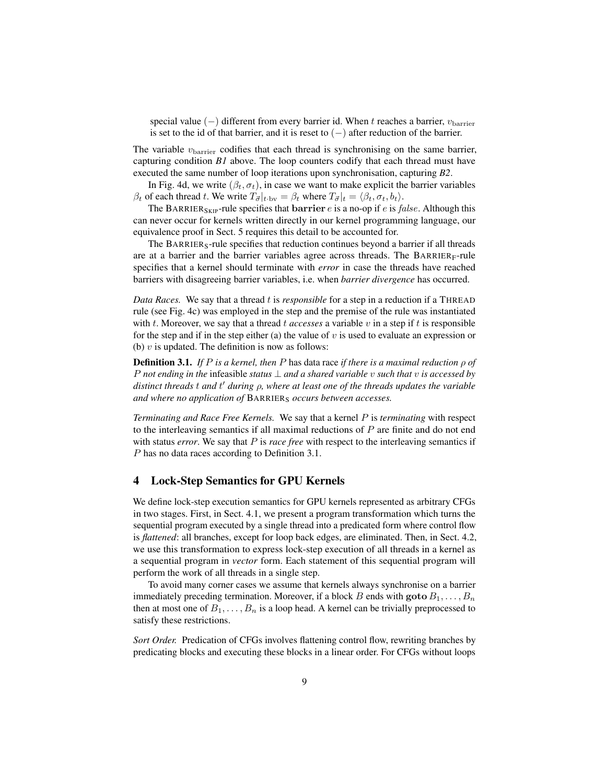special value  $(-)$  different from every barrier id. When t reaches a barrier,  $v_{barrier}$ is set to the id of that barrier, and it is reset to  $(-)$  after reduction of the barrier.

The variable  $v_{\text{barrier}}$  codifies that each thread is synchronising on the same barrier, capturing condition *B1* above. The loop counters codify that each thread must have executed the same number of loop iterations upon synchronisation, capturing *B2*.

In Fig. 4d, we write  $(\beta_t, \sigma_t)$ , in case we want to make explicit the barrier variables  $\beta_t$  of each thread t. We write  $T_{\vec{\sigma}}|_{t\cdot\text{bv}} = \beta_t$  where  $T_{\vec{\sigma}}|_t = \langle \beta_t, \sigma_t, b_t \rangle$ .

The BARRIER<sub>SKIP</sub>-rule specifies that barrier e is a no-op if e is false. Although this can never occur for kernels written directly in our kernel programming language, our equivalence proof in Sect. 5 requires this detail to be accounted for.

The BARRIER<sub>S</sub>-rule specifies that reduction continues beyond a barrier if all threads are at a barrier and the barrier variables agree across threads. The BARRIERF-rule specifies that a kernel should terminate with *error* in case the threads have reached barriers with disagreeing barrier variables, i.e. when *barrier divergence* has occurred.

*Data Races.* We say that a thread t is *responsible* for a step in a reduction if a THREAD rule (see Fig. 4c) was employed in the step and the premise of the rule was instantiated with t. Moreover, we say that a thread t *accesses* a variable v in a step if t is responsible for the step and if in the step either (a) the value of  $v$  is used to evaluate an expression or (b)  $v$  is updated. The definition is now as follows:

Definition 3.1. *If* P *is a kernel, then* P has data race *if there is a maximal reduction* ρ *of* P *not ending in the* infeasible *status* ⊥ *and a shared variable* v *such that* v *is accessed by* distinct threads *t* and *t'* during *ρ*, where at least one of the threads updates the variable *and where no application of* BARRIER<sup>S</sup> *occurs between accesses.*

*Terminating and Race Free Kernels.* We say that a kernel P is *terminating* with respect to the interleaving semantics if all maximal reductions of  $P$  are finite and do not end with status *error*. We say that P is *race free* with respect to the interleaving semantics if P has no data races according to Definition 3.1.

## 4 Lock-Step Semantics for GPU Kernels

We define lock-step execution semantics for GPU kernels represented as arbitrary CFGs in two stages. First, in Sect. 4.1, we present a program transformation which turns the sequential program executed by a single thread into a predicated form where control flow is *flattened*: all branches, except for loop back edges, are eliminated. Then, in Sect. 4.2, we use this transformation to express lock-step execution of all threads in a kernel as a sequential program in *vector* form. Each statement of this sequential program will perform the work of all threads in a single step.

To avoid many corner cases we assume that kernels always synchronise on a barrier immediately preceding termination. Moreover, if a block B ends with goto  $B_1, \ldots, B_n$ then at most one of  $B_1, \ldots, B_n$  is a loop head. A kernel can be trivially preprocessed to satisfy these restrictions.

*Sort Order.* Predication of CFGs involves flattening control flow, rewriting branches by predicating blocks and executing these blocks in a linear order. For CFGs without loops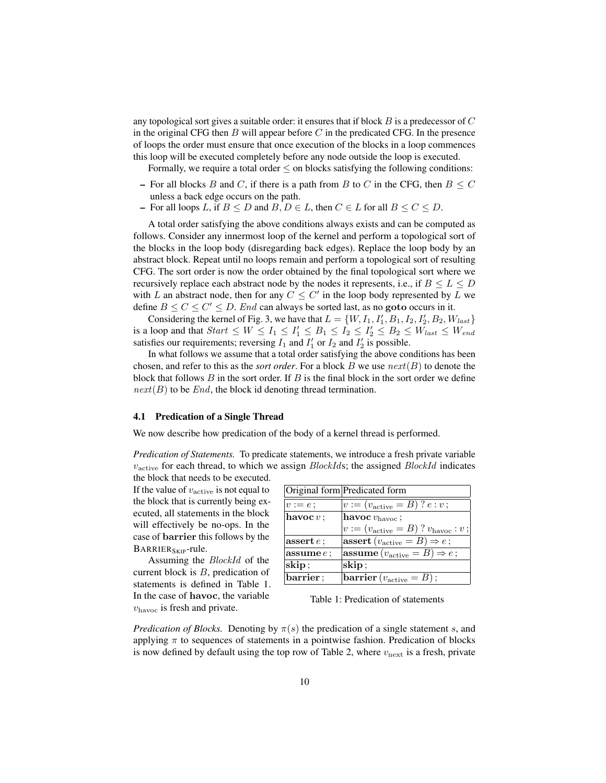any topological sort gives a suitable order: it ensures that if block  $B$  is a predecessor of  $C$ in the original CFG then  $B$  will appear before  $C$  in the predicated CFG. In the presence of loops the order must ensure that once execution of the blocks in a loop commences this loop will be executed completely before any node outside the loop is executed.

Formally, we require a total order  $\leq$  on blocks satisfying the following conditions:

- For all blocks B and C, if there is a path from B to C in the CFG, then  $B \leq C$ unless a back edge occurs on the path.
- For all loops L, if  $B \le D$  and  $B, D \in L$ , then  $C \in L$  for all  $B \le C \le D$ .

A total order satisfying the above conditions always exists and can be computed as follows. Consider any innermost loop of the kernel and perform a topological sort of the blocks in the loop body (disregarding back edges). Replace the loop body by an abstract block. Repeat until no loops remain and perform a topological sort of resulting CFG. The sort order is now the order obtained by the final topological sort where we recursively replace each abstract node by the nodes it represents, i.e., if  $B \leq L \leq D$ with L an abstract node, then for any  $C \leq C'$  in the loop body represented by L we define  $B \leq C \leq C' \leq D$ . End can always be sorted last, as no goto occurs in it.

Considering the kernel of Fig. 3, we have that  $L = \{W, I_1, I'_1, B_1, I_2, I'_2, B_2, W_{last}\}\$ is a loop and that  $Start \leq W \leq I_1 \leq I'_1 \leq B_1 \leq I_2 \leq I'_2 \leq B_2 \leq W_{last} \leq W_{end}$ satisfies our requirements; reversing  $I_1$  and  $I'_1$  or  $I_2$  and  $I'_2$  is possible.

In what follows we assume that a total order satisfying the above conditions has been chosen, and refer to this as the *sort order*. For a block B we use  $next(B)$  to denote the block that follows  $B$  in the sort order. If  $B$  is the final block in the sort order we define  $next(B)$  to be *End*, the block id denoting thread termination.

#### 4.1 Predication of a Single Thread

We now describe how predication of the body of a kernel thread is performed.

*Predication of Statements.* To predicate statements, we introduce a fresh private variable  $v_{\text{active}}$  for each thread, to which we assign  $BlockIds$ ; the assigned  $BlockId$  indicates

the block that needs to be executed. If the value of  $v_{\text{active}}$  is not equal to the block that is currently being executed, all statements in the block will effectively be no-ops. In the case of barrier this follows by the BARRIERSKIP-rule.

Assuming the BlockId of the current block is B, predication of statements is defined in Table 1. In the case of havoc, the variable  $v_{\rm{havoc}}$  is fresh and private.

| $ v:=(v_{\text{active}}=B)$ ? $v_{\text{havoc}}:v$ ; |
|------------------------------------------------------|
|                                                      |
|                                                      |
|                                                      |
|                                                      |
|                                                      |

Table 1: Predication of statements

*Predication of Blocks.* Denoting by  $\pi(s)$  the predication of a single statement s, and applying  $\pi$  to sequences of statements in a pointwise fashion. Predication of blocks is now defined by default using the top row of Table 2, where  $v_{\text{next}}$  is a fresh, private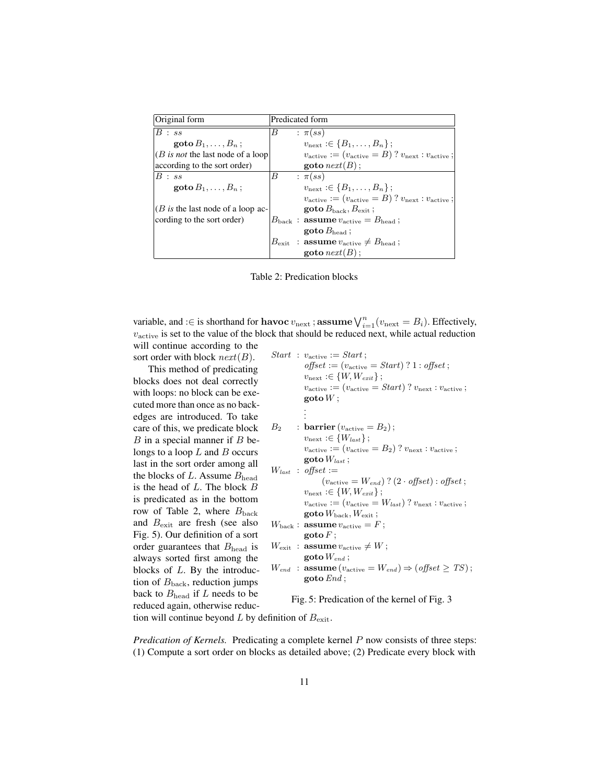| Original form                                        | Predicated form |  |                                                                                          |
|------------------------------------------------------|-----------------|--|------------------------------------------------------------------------------------------|
| $B \, : \, ss$                                       | B               |  | $:\pi(ss)$                                                                               |
| $\gcd B_1,\ldots,B_n;$                               |                 |  | $v_{\text{next}} : \in \{B_1, \ldots, B_n\};$                                            |
| $ $ ( <i>B</i> is <i>not</i> the last node of a loop |                 |  | $v_{\text{active}} := (v_{\text{active}} = B) ? v_{\text{next}} : v_{\text{active}};$    |
| according to the sort order)                         |                 |  | $\gcd\!next(B)$ ;                                                                        |
| $B \,:\, ss$                                         | В               |  | $:\pi(ss)$                                                                               |
| goto $B_1, \ldots, B_n$ :                            |                 |  | $v_{\text{next}} : \in \{B_1, \ldots, B_n\};$                                            |
|                                                      |                 |  | $v_{\text{active}} := (v_{\text{active}} = B)$ ? $v_{\text{next}} : v_{\text{active}}$ ; |
| $ B $ is the last node of a loop ac-                 |                 |  | $\gcd B_{\text{back}}, B_{\text{exit}}$ ;                                                |
| cording to the sort order)                           |                 |  | $B_{\text{back}}$ : assume $v_{\text{active}} = B_{\text{head}}$ ;                       |
|                                                      |                 |  | goto $B_{head}$ ;                                                                        |
|                                                      |                 |  | $B_{\text{exit}}$ : assume $v_{\text{active}} \neq B_{\text{head}}$ ;                    |
|                                                      |                 |  | $\gcd\!next(B)$ ;                                                                        |

Table 2: Predication blocks

variable, and :∈ is shorthand for **havoc**  $v_{\text{next}}$ ; **assume**  $\bigvee_{i=1}^{n} (v_{\text{next}} = B_i)$ . Effectively,  $v<sub>active</sub>$  is set to the value of the block that should be reduced next, while actual reduction will continue according to the

sort order with block  $next(B)$ .

This method of predicating blocks does not deal correctly with loops: no block can be executed more than once as no backedges are introduced. To take care of this, we predicate block  $B$  in a special manner if  $B$  belongs to a loop  $L$  and  $B$  occurs last in the sort order among all the blocks of  $L$ . Assume  $B_{head}$ is the head of  $L$ . The block  $B$ is predicated as in the bottom row of Table 2, where  $B_{\text{back}}$ and  $B_{\text{exit}}$  are fresh (see also Fig. 5). Our definition of a sort order guarantees that  $B_{\text{head}}$  is always sorted first among the blocks of L. By the introduction of  $B_{\text{back}}$ , reduction jumps back to  $B_{\text{head}}$  if L needs to be reduced again, otherwise reduc $Start : v_{active} := Start;$  $offset := (v_{\text{active}} = Start) ? 1 : offset;$  $v_{\text{next}}:\in\{W,W_{exit}\};$  $v_{\text{active}} := (v_{\text{active}} = Start)$  ?  $v_{\text{next}} : v_{\text{active}}$ ;  $\gcd W$  ; . . .  $B_2$  : barrier  $(v_{\text{active}} = B_2)$ ;  $v_{\text{next}}:\in\{W_{last}\};$  $v_{\text{active}} := (v_{\text{active}} = B_2) ? v_{\text{next}} : v_{\text{active}};$ goto  $W_{last}$ ;  $W_{last}$  : offset :=  $(v_{\text{active}} = W_{end})$  ?  $(2 \cdot \text{offset})$  : offset;  $v_{\text{next}}:\in\{W,W_{exit}\}\,;$  $v_{\text{active}} := (v_{\text{active}} = W_{\text{last}}) ? v_{\text{next}} : v_{\text{active}};$ goto  $W_{\text{back}}, W_{\text{exit}}$ ;  $W_{\text{back}}$ : assume  $v_{\text{active}} = F$ ;  $\boldsymbol{\mathsf{goto}} F$ ;  $W_{\text{exit}}$ : assume  $v_{\text{active}} \neq W$ ; goto  $W_{end}$ ;  $W_{end}$ : assume  $(v_{\text{active}} = W_{end}) \Rightarrow (offset \geq TS);$  $\gcd$  goto  $End$ ;

Fig. 5: Predication of the kernel of Fig. 3

tion will continue beyond L by definition of  $B_{\text{exit}}$ .

*Predication of Kernels.* Predicating a complete kernel P now consists of three steps: (1) Compute a sort order on blocks as detailed above; (2) Predicate every block with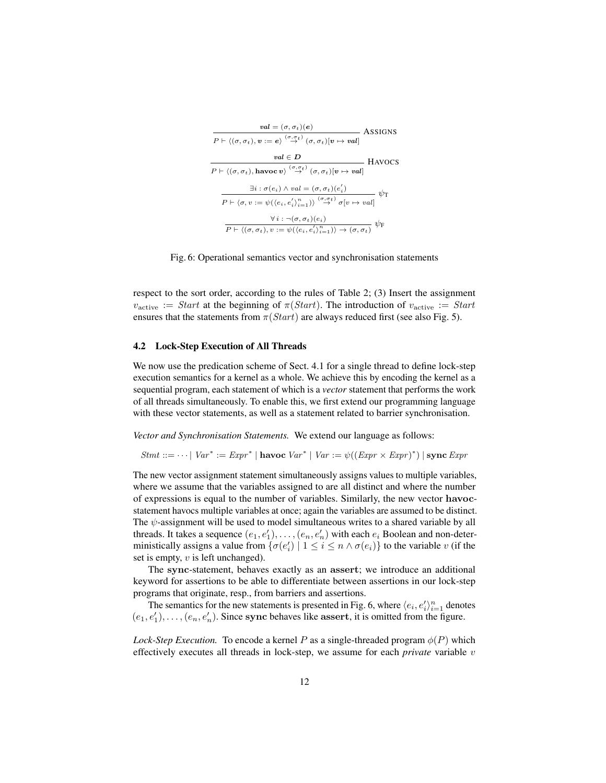| $val = (\sigma, \sigma_t)(e)$                                                                                                                                                                    | <b>ASSIGNS</b> |
|--------------------------------------------------------------------------------------------------------------------------------------------------------------------------------------------------|----------------|
| $P \vdash \langle (\sigma, \sigma_t), \boldsymbol{v} \rangle : = \boldsymbol{e} \rangle \stackrel{(\sigma, \sigma_t)}{\rightarrow} (\sigma, \sigma_t) [\boldsymbol{v} \mapsto \boldsymbol{val}]$ |                |
| $val \in D$                                                                                                                                                                                      | <b>HAVOCS</b>  |
| $P \vdash \langle (\sigma, \sigma_t), \text{have } v \rangle \stackrel{(\sigma, \sigma_t)}{\rightarrow} (\sigma, \sigma_t)[v \mapsto val]$                                                       |                |
| $\exists i : \sigma(e_i) \wedge val = (\sigma, \sigma_t)(e'_i)$                                                                                                                                  | $\psi_{\rm T}$ |
| $P \vdash \langle \sigma, v := \psi(\langle e_i, e'_i \rangle_{i=1}^n) \rangle \stackrel{(\sigma, \sigma_t)}{\rightarrow} \sigma[v \mapsto val]$                                                 |                |
| $\forall i : \neg(\sigma, \sigma_t)(e_i)$                                                                                                                                                        |                |
| $P \vdash \langle (\sigma, \sigma_t), v := \psi(\langle e_i, e'_i \rangle_{i=1}^n) \rangle \rightarrow (\sigma, \sigma_t)$                                                                       |                |

Fig. 6: Operational semantics vector and synchronisation statements

respect to the sort order, according to the rules of Table 2; (3) Insert the assignment  $v_{\text{active}} := Start$  at the beginning of  $\pi(Start)$ . The introduction of  $v_{\text{active}} := Start$ ensures that the statements from  $\pi(Start)$  are always reduced first (see also Fig. 5).

### 4.2 Lock-Step Execution of All Threads

We now use the predication scheme of Sect. 4.1 for a single thread to define lock-step execution semantics for a kernel as a whole. We achieve this by encoding the kernel as a sequential program, each statement of which is a *vector* statement that performs the work of all threads simultaneously. To enable this, we first extend our programming language with these vector statements, as well as a statement related to barrier synchronisation.

*Vector and Synchronisation Statements.* We extend our language as follows:

Stmt ::= · · · |  $Var^*$  :=  $Expr^*$  | havoc  $Var^*$  |  $Var := \psi((Expr \times Expr)^*)$  | sync  $Expr$ 

The new vector assignment statement simultaneously assigns values to multiple variables, where we assume that the variables assigned to are all distinct and where the number of expressions is equal to the number of variables. Similarly, the new vector havocstatement havocs multiple variables at once; again the variables are assumed to be distinct. The  $\psi$ -assignment will be used to model simultaneous writes to a shared variable by all threads. It takes a sequence  $(e_1, e'_1), \ldots, (e_n, e'_n)$  with each  $e_i$  Boolean and non-deterministically assigns a value from  $\{\sigma(e'_i) \mid 1 \leq i \leq n \land \sigma(e_i)\}\$  to the variable v (if the set is empty,  $v$  is left unchanged).

The sync-statement, behaves exactly as an assert; we introduce an additional keyword for assertions to be able to differentiate between assertions in our lock-step programs that originate, resp., from barriers and assertions.

The semantics for the new statements is presented in Fig. 6, where  $\langle e_i, e'_i \rangle_{i=1}^n$  denotes  $(e_1, e'_1), \ldots, (e_n, e'_n)$ . Since sync behaves like assert, it is omitted from the figure.

*Lock-Step Execution.* To encode a kernel P as a single-threaded program  $\phi(P)$  which effectively executes all threads in lock-step, we assume for each *private* variable v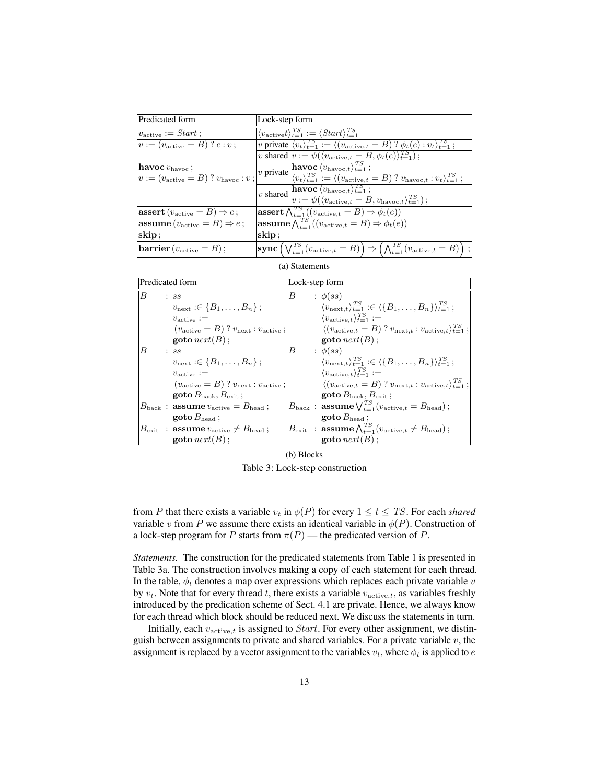| Predicated form                                         | Lock-step form                                                                                                                                                                                                                                                                           |  |  |  |
|---------------------------------------------------------|------------------------------------------------------------------------------------------------------------------------------------------------------------------------------------------------------------------------------------------------------------------------------------------|--|--|--|
| $v_{\text{active}} := Start;$                           | $\langle v_{\text{active}}t \rangle_{t=1}^{TS} := \langle Start \rangle_{t=1}^{TS}$                                                                                                                                                                                                      |  |  |  |
| $v := (v_{\text{active}} = B) ? e : v;$                 | v private $\langle v_t \rangle_{t=1}^{TS} := \langle (v_{\text{active},t} = B) ? \overline{\phi}_t(e) : v_t \rangle_{t=1}^{TS}$ ;                                                                                                                                                        |  |  |  |
|                                                         | v shared $ v:=\psi(\langle v_{\text{active},t}=B,\phi_t(e) \rangle_{t=1}^{TS})$ ;                                                                                                                                                                                                        |  |  |  |
|                                                         | <b>havoc</b> $v_{\text{havoc}}$ ;<br>$v := (v_{\text{active}} = B)$ ? $v_{\text{havoc}}$ : $v$ ;<br>$v$ private $\begin{cases} \text{have} & v_{\text{havoc},t} \neq 0 \ i_{t=1} & \text{if } v_{\text{havoc},t} = B \ \text{if } v_{\text{havoc},t} & \text{if } v_{t=1} \end{cases}$ ; |  |  |  |
|                                                         |                                                                                                                                                                                                                                                                                          |  |  |  |
|                                                         | v shared $\begin{bmatrix} \textbf{havoc} \langle v_{\textbf{havoc},t} \rangle_{t=1}^{TS} ; \ v := \psi(\langle v_{\textbf{active},t} = B, v_{\textbf{havoc},t} \rangle_{t=1}^{TS}) ; \end{bmatrix}$                                                                                      |  |  |  |
|                                                         |                                                                                                                                                                                                                                                                                          |  |  |  |
| <b>assert</b> $(v_{\text{active}} = B) \Rightarrow e$ ; | <b>assert</b> $\bigwedge_{t=1}^{TS}((v_{\text{active},t} = B) \Rightarrow \phi_t(e))$                                                                                                                                                                                                    |  |  |  |
| <b>assume</b> $(v_{\text{active}} = B) \Rightarrow e;$  | <b>assume</b> $\bigwedge_{t=1}^{TS}((v_{\text{active},t} = B) \Rightarrow \phi_t(e))$                                                                                                                                                                                                    |  |  |  |
| skip;                                                   | skip;                                                                                                                                                                                                                                                                                    |  |  |  |
| <b>barrier</b> $(v_{\text{active}} = B)$ ;              | $\left  \text{sync}\left(\bigvee_{t=1}^{TS} (v_{\text{active},t} = B) \right) \Rightarrow \left( \bigwedge_{t=1}^{TS} (v_{\text{active},t} = B) \right) ; \right.$                                                                                                                       |  |  |  |

(a) Statements

| Predicated form                                                       | Lock-step form                                                                                        |  |  |  |
|-----------------------------------------------------------------------|-------------------------------------------------------------------------------------------------------|--|--|--|
| B<br>$:$ $ss$                                                         | B<br>: $\phi(ss)$                                                                                     |  |  |  |
| $v_{\text{next}} : \in \{B_1, \ldots, B_n\}$ ;                        | $\langle v_{\text{next},t} \rangle_{t=1}^{TS} : \in \langle \{B_1, \ldots, B_n\} \rangle_{t=1}^{TS};$ |  |  |  |
| $v_{\text{active}} :=$                                                | $\langle v_{\text{active},t} \rangle_{t=1}^{TS} :=$                                                   |  |  |  |
| $(v_{\text{active}} = B)$ ? $v_{\text{next}} : v_{\text{active}}$ ;   | $\langle (v_{\text{active},t} = B) ? v_{\text{next},t} : v_{\text{active},t} \rangle_{t=1}^{TS};$     |  |  |  |
| $\textbf{goto}\ \textit{next}(B)$ ;                                   | $\gcd\!textbf{c} \text{ } next(B)$ ;                                                                  |  |  |  |
| B<br>$:$ $ss$                                                         | B<br>: $\phi(ss)$                                                                                     |  |  |  |
| $v_{\text{next}} : \in \{B_1, \ldots, B_n\}$ ;                        | $\langle v_{\text{next},t} \rangle_{t=1}^{TS} : \in \langle \{B_1, \ldots, B_n\} \rangle_{t=1}^{TS};$ |  |  |  |
| $v_{\text{active}} :=$                                                | $\langle v_{\text{active},t} \rangle_{t=1}^{TS} :=$                                                   |  |  |  |
| $(v_{\text{active}} = B)$ ? $v_{\text{next}}$ : $v_{\text{active}}$ ; | $\langle (v_{\text{active},t} = B) ? v_{\text{next},t} : v_{\text{active},t} \rangle_{t=1}^{TS};$     |  |  |  |
| <b>goto</b> $B_{\text{back}}, B_{\text{exit}}$ ;                      | <b>goto</b> $B_{\text{back}}, B_{\text{exit}}$ ;                                                      |  |  |  |
| $B_{\text{back}}$ : assume $v_{\text{active}} = B_{\text{head}}$ ;    | $B_{\text{back}}$ : assume $\bigvee_{t=1}^{TS} (v_{\text{active},t} = B_{\text{head}})$ ;             |  |  |  |
| goto $B_{head}$ ;                                                     | goto $B_{head}$ ;                                                                                     |  |  |  |
| $B_{\text{exit}}$ : assume $v_{\text{active}} \neq B_{\text{head}}$ ; | $B_{\text{exit}}$ : assume $\bigwedge_{t=1}^{TS} (v_{\text{active},t} \neq B_{\text{head}})$ ;        |  |  |  |
| $\textbf{goto}\ \textit{next}(B)$ ;                                   | $\gcd\!textbf{C} \text{ } \textbf{next}(B)$ ;                                                         |  |  |  |

(b) Blocks Table 3: Lock-step construction

from P that there exists a variable  $v_t$  in  $\phi(P)$  for every  $1 \le t \le TS$ . For each *shared* variable v from P we assume there exists an identical variable in  $\phi(P)$ . Construction of a lock-step program for P starts from  $\pi(P)$  — the predicated version of P.

*Statements.* The construction for the predicated statements from Table 1 is presented in Table 3a. The construction involves making a copy of each statement for each thread. In the table,  $\phi_t$  denotes a map over expressions which replaces each private variable  $v$ by  $v_t$ . Note that for every thread t, there exists a variable  $v_{\text{active},t}$ , as variables freshly introduced by the predication scheme of Sect. 4.1 are private. Hence, we always know for each thread which block should be reduced next. We discuss the statements in turn.

Initially, each  $v_{\text{active},t}$  is assigned to *Start*. For every other assignment, we distinguish between assignments to private and shared variables. For a private variable  $v$ , the assignment is replaced by a vector assignment to the variables  $v_t$ , where  $\phi_t$  is applied to  $e$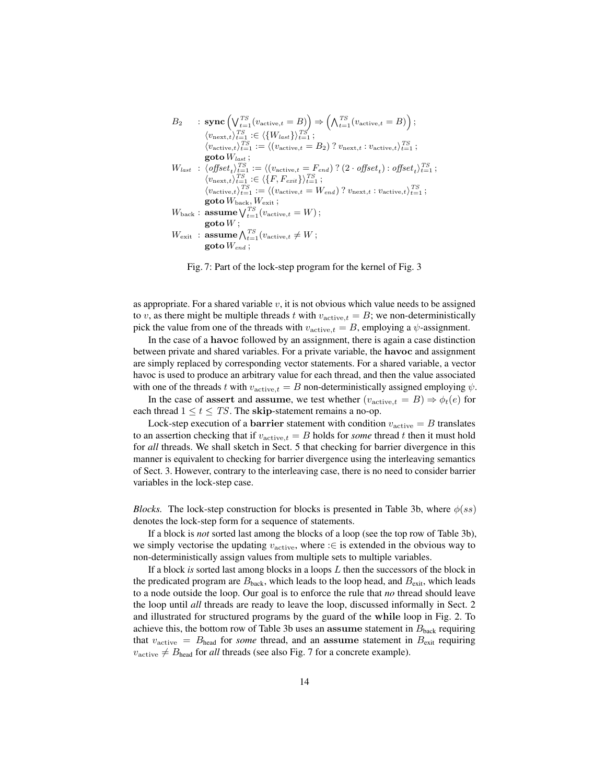$$
B_2 : \text{sync} \left( \bigvee_{t=1}^{TS} (v_{\text{active},t} = B) \right) \Rightarrow \left( \bigwedge_{t=1}^{TS} (v_{\text{active},t} = B) \right);
$$
\n
$$
\langle v_{\text{next},t} \rangle_{t=1}^{TS} : \in \langle \{ W_{last} \} \rangle_{t=1}^{TS};
$$
\n
$$
\langle v_{\text{active},t} \rangle_{t=1}^{TS} := \langle (v_{\text{active},t} = B_2) ? v_{\text{next},t} : v_{\text{active},t} \rangle_{t=1}^{TS};
$$
\n
$$
\text{goto } W_{last};
$$
\n
$$
W_{last} : \langle \text{offset}_t \rangle_{t=1}^{TS} := \langle (v_{\text{active},t} = F_{end}) ? (2 \cdot \text{offset}_t) : \text{offset}_t \rangle_{t=1}^{TS};
$$
\n
$$
\langle v_{\text{next},t} \rangle_{t=1}^{TS} : \in \langle \{ F, F_{exit} \} \rangle_{t=1}^{TS};
$$
\n
$$
\langle v_{\text{active},t} \rangle_{t=1}^{TS} := \langle (v_{\text{active},t} = W_{end}) ? v_{\text{next},t} : v_{\text{active},t} \rangle_{t=1}^{TS};
$$
\n
$$
\text{goto } W_{\text{back}}, W_{\text{exit}};
$$
\n
$$
\text{assoc } W_{\text{init}} : \text{assume } \bigwedge_{t=1}^{TS} (v_{\text{active},t} = W);
$$
\n
$$
W_{\text{exit}} : \text{assume } \bigwedge_{t=1}^{TS} (v_{\text{active},t} \neq W;
$$
\n
$$
\text{goto } W_{end};
$$



as appropriate. For a shared variable  $v$ , it is not obvious which value needs to be assigned to v, as there might be multiple threads t with  $v_{\text{active},t} = B$ ; we non-deterministically pick the value from one of the threads with  $v_{\text{active},t} = B$ , employing a  $\psi$ -assignment.

In the case of a havoc followed by an assignment, there is again a case distinction between private and shared variables. For a private variable, the havoc and assignment are simply replaced by corresponding vector statements. For a shared variable, a vector havoc is used to produce an arbitrary value for each thread, and then the value associated with one of the threads t with  $v_{\text{active},t} = B$  non-deterministically assigned employing  $\psi$ .

In the case of assert and assume, we test whether  $(v_{\text{active},t} = B) \Rightarrow \phi_t(e)$  for each thread  $1 \le t \le TS$ . The skip-statement remains a no-op.

Lock-step execution of a barrier statement with condition  $v_{\text{active}} = B$  translates to an assertion checking that if  $v_{\text{active},t} = B$  holds for *some* thread t then it must hold for *all* threads. We shall sketch in Sect. 5 that checking for barrier divergence in this manner is equivalent to checking for barrier divergence using the interleaving semantics of Sect. 3. However, contrary to the interleaving case, there is no need to consider barrier variables in the lock-step case.

*Blocks.* The lock-step construction for blocks is presented in Table 3b, where  $\phi(ss)$ denotes the lock-step form for a sequence of statements.

If a block is *not* sorted last among the blocks of a loop (see the top row of Table 3b), we simply vectorise the updating  $v_{\text{active}}$ , where : $\in$  is extended in the obvious way to non-deterministically assign values from multiple sets to multiple variables.

If a block *is* sorted last among blocks in a loops L then the successors of the block in the predicated program are  $B_{\text{back}}$ , which leads to the loop head, and  $B_{\text{exit}}$ , which leads to a node outside the loop. Our goal is to enforce the rule that *no* thread should leave the loop until *all* threads are ready to leave the loop, discussed informally in Sect. 2 and illustrated for structured programs by the guard of the while loop in Fig. 2. To achieve this, the bottom row of Table 3b uses an assume statement in  $B_{\text{back}}$  requiring that  $v_{\text{active}} = B_{\text{head}}$  for *some* thread, and an assume statement in  $B_{\text{exit}}$  requiring  $v_{\text{active}} \neq B_{\text{head}}$  for *all* threads (see also Fig. 7 for a concrete example).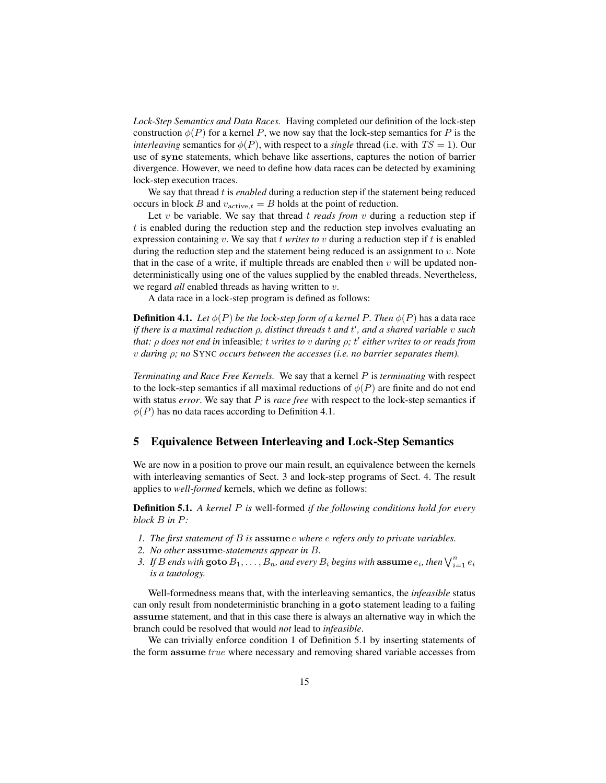*Lock-Step Semantics and Data Races.* Having completed our definition of the lock-step construction  $\phi(P)$  for a kernel P, we now say that the lock-step semantics for P is the *interleaving* semantics for  $\phi(P)$ , with respect to a *single* thread (i.e. with  $TS = 1$ ). Our use of sync statements, which behave like assertions, captures the notion of barrier divergence. However, we need to define how data races can be detected by examining lock-step execution traces.

We say that thread t is *enabled* during a reduction step if the statement being reduced occurs in block B and  $v_{\text{active},t} = B$  holds at the point of reduction.

Let  $v$  be variable. We say that thread  $t$  *reads from*  $v$  during a reduction step if t is enabled during the reduction step and the reduction step involves evaluating an expression containing  $v$ . We say that  $t$  *writes to*  $v$  during a reduction step if  $t$  is enabled during the reduction step and the statement being reduced is an assignment to v. Note that in the case of a write, if multiple threads are enabled then  $v$  will be updated nondeterministically using one of the values supplied by the enabled threads. Nevertheless, we regard *all* enabled threads as having written to v.

A data race in a lock-step program is defined as follows:

**Definition 4.1.** Let  $\phi(P)$  be the lock-step form of a kernel P. Then  $\phi(P)$  has a data race *if there is a maximal reduction* ρ*, distinct threads* t *and* t 0 *, and a shared variable* v *such that:* ρ *does not end in* infeasible*;* t *writes to* v *during* ρ*;* t 0 *either writes to or reads from* v *during* ρ*; no* SYNC *occurs between the accesses (i.e. no barrier separates them).*

*Terminating and Race Free Kernels.* We say that a kernel P is *terminating* with respect to the lock-step semantics if all maximal reductions of  $\phi(P)$  are finite and do not end with status *error*. We say that P is *race free* with respect to the lock-step semantics if  $\phi(P)$  has no data races according to Definition 4.1.

## 5 Equivalence Between Interleaving and Lock-Step Semantics

We are now in a position to prove our main result, an equivalence between the kernels with interleaving semantics of Sect. 3 and lock-step programs of Sect. 4. The result applies to *well-formed* kernels, which we define as follows:

Definition 5.1. *A kernel* P *is* well-formed *if the following conditions hold for every block* B *in* P*:*

- *1. The first statement of* B *is* assume e *where* e *refers only to private variables.*
- *2. No other* assume*-statements appear in* B*.*
- 3. If B ends with  $\text{goto } B_1, \ldots, B_n$ , and every  $B_i$  begins with  $\text{assume } e_i$ , then  $\bigvee_{i=1}^n e_i$ *is a tautology.*

Well-formedness means that, with the interleaving semantics, the *infeasible* status can only result from nondeterministic branching in a goto statement leading to a failing assume statement, and that in this case there is always an alternative way in which the branch could be resolved that would *not* lead to *infeasible*.

We can trivially enforce condition 1 of Definition 5.1 by inserting statements of the form assume true where necessary and removing shared variable accesses from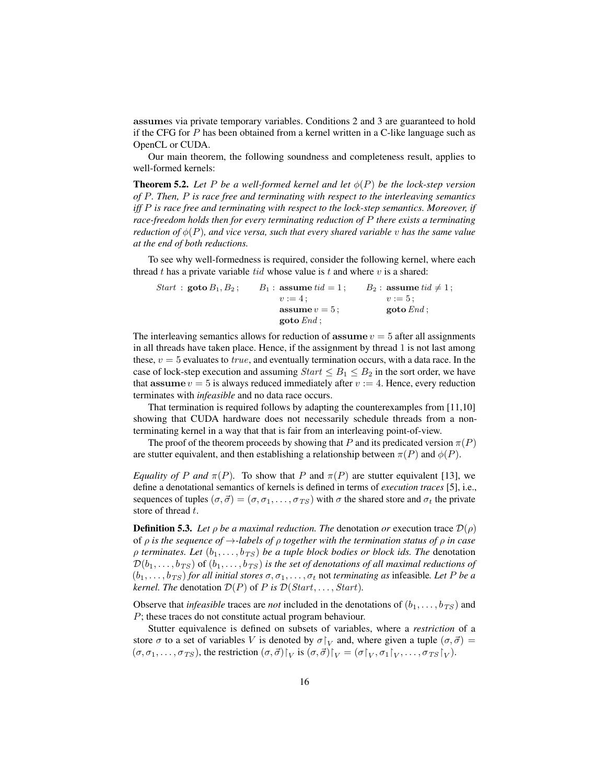assumes via private temporary variables. Conditions 2 and 3 are guaranteed to hold if the CFG for  $P$  has been obtained from a kernel written in a C-like language such as OpenCL or CUDA.

Our main theorem, the following soundness and completeness result, applies to well-formed kernels:

**Theorem 5.2.** *Let* P *be a well-formed kernel and let*  $\phi(P)$  *be the lock-step version of* P*. Then,* P *is race free and terminating with respect to the interleaving semantics iff* P *is race free and terminating with respect to the lock-step semantics. Moreover, if race-freedom holds then for every terminating reduction of* P *there exists a terminating reduction of*  $\phi(P)$ *, and vice versa, such that every shared variable* v has the same value *at the end of both reductions.*

To see why well-formedness is required, consider the following kernel, where each thread  $t$  has a private variable  $tid$  whose value is  $t$  and where  $v$  is a shared:

Start : goto  $B_1, B_2$ ;  $B_1$  : assume tid  $= 1$ ;  $B_2$  : assume tid  $\neq 1$ ;  $v := 4$ ;  $v := 5$ ; assume  $v = 5$ ; goto  $End$ ;  $\gcd$  End;

The interleaving semantics allows for reduction of  $\text{assume } v = 5$  after all assignments in all threads have taken place. Hence, if the assignment by thread 1 is not last among these,  $v = 5$  evaluates to  $true$ , and eventually termination occurs, with a data race. In the case of lock-step execution and assuming  $Start \leq B_1 \leq B_2$  in the sort order, we have that assume  $v = 5$  is always reduced immediately after  $v := 4$ . Hence, every reduction terminates with *infeasible* and no data race occurs.

That termination is required follows by adapting the counterexamples from [11,10] showing that CUDA hardware does not necessarily schedule threads from a nonterminating kernel in a way that that is fair from an interleaving point-of-view.

The proof of the theorem proceeds by showing that P and its predicated version  $\pi(P)$ are stutter equivalent, and then establishing a relationship between  $\pi(P)$  and  $\phi(P)$ .

*Equality of P and*  $\pi(P)$ . To show that P and  $\pi(P)$  are stutter equivalent [13], we define a denotational semantics of kernels is defined in terms of *execution traces* [5], i.e., sequences of tuples  $(\sigma, \vec{\sigma}) = (\sigma, \sigma_1, \dots, \sigma_{TS})$  with  $\sigma$  the shared store and  $\sigma_t$  the private store of thread t.

**Definition 5.3.** Let  $\rho$  be a maximal reduction. The denotation or execution trace  $\mathcal{D}(\rho)$ of ρ *is the sequence of* →*-labels of* ρ *together with the termination status of* ρ *in case*  $\rho$  *terminates. Let*  $(b_1, \ldots, b_{TS})$  *be a tuple block bodies or block ids. The denotation*  $\mathcal{D}(b_1,\ldots,b_{TS})$  of  $(b_1,\ldots,b_{TS})$  *is the set of denotations of all maximal reductions of*  $(b_1, \ldots, b_{TS})$  *for all initial stores*  $\sigma, \sigma_1, \ldots, \sigma_t$  not *terminating as infeasible. Let* P *be a kernel. The* denotation  $\mathcal{D}(P)$  of P *is*  $\mathcal{D}(Start, \ldots, Start)$ *.* 

Observe that *infeasible* traces are *not* included in the denotations of  $(b_1, \ldots, b_{TS})$  and P; these traces do not constitute actual program behaviour.

Stutter equivalence is defined on subsets of variables, where a *restriction* of a store  $\sigma$  to a set of variables V is denoted by  $\sigma|_V$  and, where given a tuple  $(\sigma, \vec{\sigma}) =$  $(\sigma, \sigma_1, \ldots, \sigma_{TS})$ , the restriction  $(\sigma, \vec{\sigma})\upharpoonright_V$  is  $(\sigma, \vec{\sigma})\upharpoonright_V = (\sigma\upharpoonright_V, \sigma_1\upharpoonright_V, \ldots, \sigma_{TS}\upharpoonright_V)$ .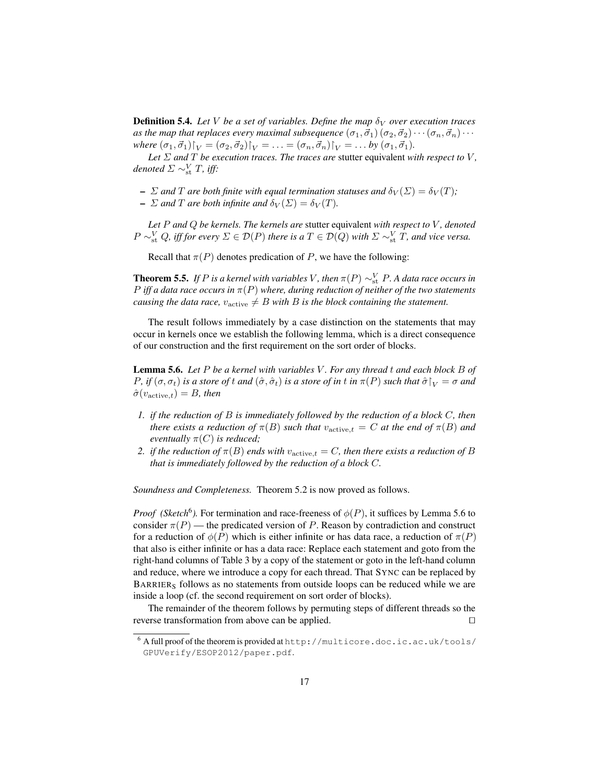**Definition 5.4.** Let V be a set of variables. Define the map  $\delta_V$  over execution traces *as the map that replaces every maximal subsequence*  $(\sigma_1, \vec{\sigma}_1)$   $(\sigma_2, \vec{\sigma}_2) \cdots (\sigma_n, \vec{\sigma}_n) \cdots$ *where*  $(\sigma_1, \vec{\sigma}_1)|_V = (\sigma_2, \vec{\sigma}_2)|_V = \ldots = (\sigma_n, \vec{\sigma}_n)|_V = \ldots$  *by*  $(\sigma_1, \vec{\sigma}_1)$ *.* 

*Let*  $\Sigma$  *and*  $T$  *be execution traces. The traces are stutter equivalent with respect to*  $V$ *,*  $denoted \Sigma \sim_{\textnormal{st}}^V T$ *, iff:* 

- $\sim \Sigma$  *and*  $T$  *are both finite with equal termination statuses and*  $\delta_V(\Sigma) = \delta_V(T)$ ;
- $\overline{\phantom{I}}$   $\Sigma$  *and*  $T$  *are both infinite and*  $\delta_V(\Sigma) = \delta_V(T)$ *.*

*Let* P *and* Q *be kernels. The kernels are* stutter equivalent *with respect to* V *, denoted*  $P \sim_{\text{st}}^V Q$ , iff for every  $\Sigma \in \mathcal{D}(P)$  there is a  $T \in \mathcal{D}(Q)$  with  $\Sigma \sim_{\text{st}}^V T$ , and vice versa.

Recall that  $\pi(P)$  denotes predication of P, we have the following:

**Theorem 5.5.** If P is a kernel with variables V, then  $\pi(P) \sim_{\text{st}}^V P$ . A data race occurs in P *iff a data race occurs in*  $\pi(P)$  *where, during reduction of neither of the two statements causing the data race,*  $v_{\text{active}} \neq B$  *with* B *is the block containing the statement.* 

The result follows immediately by a case distinction on the statements that may occur in kernels once we establish the following lemma, which is a direct consequence of our construction and the first requirement on the sort order of blocks.

Lemma 5.6. *Let* P *be a kernel with variables* V *. For any thread* t *and each block* B *of P*, if  $(\sigma, \sigma_t)$  is a store of t and  $(\hat{\sigma}, \hat{\sigma}_t)$  is a store of in t in  $\pi(P)$  such that  $\hat{\sigma}|_V = \sigma$  and  $\hat{\sigma}(v_{\text{active},t}) = B$ *, then* 

- *1. if the reduction of* B *is immediately followed by the reduction of a block* C*, then there exists a reduction of*  $\pi(B)$  *such that*  $v_{\text{active},t} = C$  *at the end of*  $\pi(B)$  *and eventually*  $\pi(C)$  *is reduced*;
- *2. if the reduction of*  $\pi(B)$  *ends with*  $v_{\text{active},t} = C$ *, then there exists a reduction of* B *that is immediately followed by the reduction of a block* C*.*

*Soundness and Completeness.* Theorem 5.2 is now proved as follows.

*Proof* (*Sketch*<sup>6</sup>). For termination and race-freeness of  $\phi(P)$ , it suffices by Lemma 5.6 to consider  $\pi(P)$  — the predicated version of P. Reason by contradiction and construct for a reduction of  $\phi(P)$  which is either infinite or has data race, a reduction of  $\pi(P)$ that also is either infinite or has a data race: Replace each statement and goto from the right-hand columns of Table 3 by a copy of the statement or goto in the left-hand column and reduce, where we introduce a copy for each thread. That SYNC can be replaced by BARRIER<sub>S</sub> follows as no statements from outside loops can be reduced while we are inside a loop (cf. the second requirement on sort order of blocks).

The remainder of the theorem follows by permuting steps of different threads so the reverse transformation from above can be applied.  $\Box$ 

<sup>6</sup> A full proof of the theorem is provided at http://multicore.doc.ic.ac.uk/tools/ GPUVerify/ESOP2012/paper.pdf.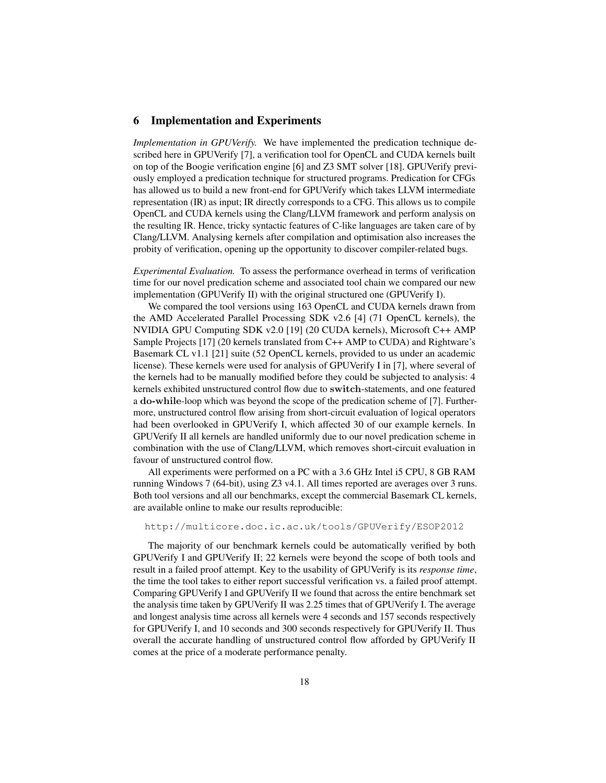## 6 Implementation and Experiments

*Implementation in GPUVerify.* We have implemented the predication technique described here in GPUVerify [7], a verification tool for OpenCL and CUDA kernels built on top of the Boogie verification engine [6] and Z3 SMT solver [18]. GPUVerify previously employed a predication technique for structured programs. Predication for CFGs has allowed us to build a new front-end for GPUVerify which takes LLVM intermediate representation (IR) as input; IR directly corresponds to a CFG. This allows us to compile OpenCL and CUDA kernels using the Clang/LLVM framework and perform analysis on the resulting IR. Hence, tricky syntactic features of C-like languages are taken care of by Clang/LLVM. Analysing kernels after compilation and optimisation also increases the probity of verification, opening up the opportunity to discover compiler-related bugs.

*Experimental Evaluation.* To assess the performance overhead in terms of verification time for our novel predication scheme and associated tool chain we compared our new implementation (GPUVerify II) with the original structured one (GPUVerify I).

We compared the tool versions using 163 OpenCL and CUDA kernels drawn from the AMD Accelerated Parallel Processing SDK v2.6 [4] (71 OpenCL kernels), the NVIDIA GPU Computing SDK v2.0 [19] (20 CUDA kernels), Microsoft C++ AMP Sample Projects [17] (20 kernels translated from C++ AMP to CUDA) and Rightware's Basemark CL v1.1 [21] suite (52 OpenCL kernels, provided to us under an academic license). These kernels were used for analysis of GPUVerify I in [7], where several of the kernels had to be manually modified before they could be subjected to analysis: 4 kernels exhibited unstructured control flow due to switch-statements, and one featured a do-while-loop which was beyond the scope of the predication scheme of [7]. Furthermore, unstructured control flow arising from short-circuit evaluation of logical operators had been overlooked in GPUVerify I, which affected 30 of our example kernels. In GPUVerify II all kernels are handled uniformly due to our novel predication scheme in combination with the use of Clang/LLVM, which removes short-circuit evaluation in favour of unstructured control flow.

All experiments were performed on a PC with a 3.6 GHz Intel i5 CPU, 8 GB RAM running Windows 7 (64-bit), using Z3 v4.1. All times reported are averages over 3 runs. Both tool versions and all our benchmarks, except the commercial Basemark CL kernels, are available online to make our results reproducible:

http://multicore.doc.ic.ac.uk/tools/GPUVerify/ESOP2012

The majority of our benchmark kernels could be automatically verified by both GPUVerify I and GPUVerify II; 22 kernels were beyond the scope of both tools and result in a failed proof attempt. Key to the usability of GPUVerify is its *response time*, the time the tool takes to either report successful verification vs. a failed proof attempt. Comparing GPUVerify I and GPUVerify II we found that across the entire benchmark set the analysis time taken by GPUVerify II was 2.25 times that of GPUVerify I. The average and longest analysis time across all kernels were 4 seconds and 157 seconds respectively for GPUVerify I, and 10 seconds and 300 seconds respectively for GPUVerify II. Thus overall the accurate handling of unstructured control flow afforded by GPUVerify II comes at the price of a moderate performance penalty.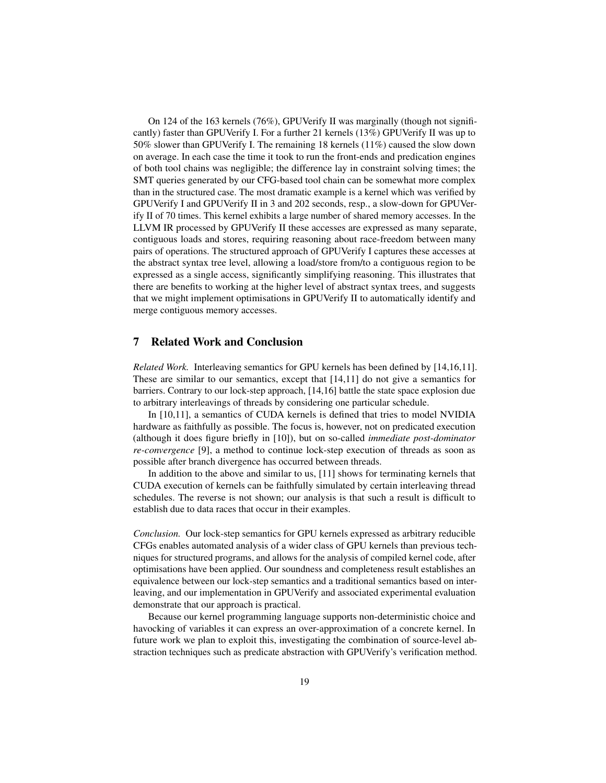On 124 of the 163 kernels (76%), GPUVerify II was marginally (though not significantly) faster than GPUVerify I. For a further 21 kernels (13%) GPUVerify II was up to 50% slower than GPUVerify I. The remaining 18 kernels (11%) caused the slow down on average. In each case the time it took to run the front-ends and predication engines of both tool chains was negligible; the difference lay in constraint solving times; the SMT queries generated by our CFG-based tool chain can be somewhat more complex than in the structured case. The most dramatic example is a kernel which was verified by GPUVerify I and GPUVerify II in 3 and 202 seconds, resp., a slow-down for GPUVerify II of 70 times. This kernel exhibits a large number of shared memory accesses. In the LLVM IR processed by GPUVerify II these accesses are expressed as many separate, contiguous loads and stores, requiring reasoning about race-freedom between many pairs of operations. The structured approach of GPUVerify I captures these accesses at the abstract syntax tree level, allowing a load/store from/to a contiguous region to be expressed as a single access, significantly simplifying reasoning. This illustrates that there are benefits to working at the higher level of abstract syntax trees, and suggests that we might implement optimisations in GPUVerify II to automatically identify and merge contiguous memory accesses.

## 7 Related Work and Conclusion

*Related Work.* Interleaving semantics for GPU kernels has been defined by [14,16,11]. These are similar to our semantics, except that [14,11] do not give a semantics for barriers. Contrary to our lock-step approach, [14,16] battle the state space explosion due to arbitrary interleavings of threads by considering one particular schedule.

In [10,11], a semantics of CUDA kernels is defined that tries to model NVIDIA hardware as faithfully as possible. The focus is, however, not on predicated execution (although it does figure briefly in [10]), but on so-called *immediate post-dominator re-convergence* [9], a method to continue lock-step execution of threads as soon as possible after branch divergence has occurred between threads.

In addition to the above and similar to us, [11] shows for terminating kernels that CUDA execution of kernels can be faithfully simulated by certain interleaving thread schedules. The reverse is not shown; our analysis is that such a result is difficult to establish due to data races that occur in their examples.

*Conclusion.* Our lock-step semantics for GPU kernels expressed as arbitrary reducible CFGs enables automated analysis of a wider class of GPU kernels than previous techniques for structured programs, and allows for the analysis of compiled kernel code, after optimisations have been applied. Our soundness and completeness result establishes an equivalence between our lock-step semantics and a traditional semantics based on interleaving, and our implementation in GPUVerify and associated experimental evaluation demonstrate that our approach is practical.

Because our kernel programming language supports non-deterministic choice and havocking of variables it can express an over-approximation of a concrete kernel. In future work we plan to exploit this, investigating the combination of source-level abstraction techniques such as predicate abstraction with GPUVerify's verification method.